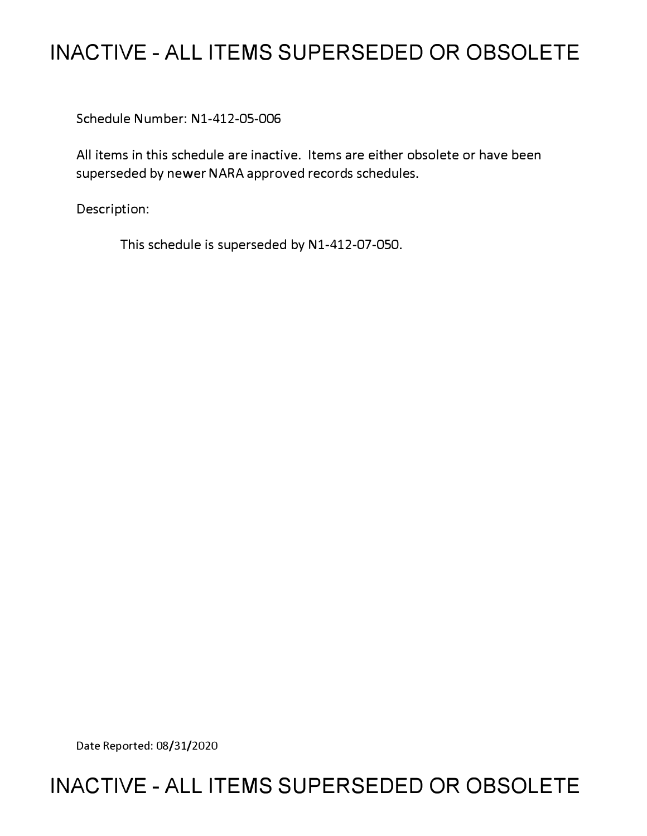# **INACTIVE - ALL ITEMS SUPERSEDED OR OBSOLETE**

Schedule Number: Nl-412-05-006

All items in this schedule are inactive. Items are either obsolete or have been superseded by newer NARA approved records schedules.

Description:

This schedule is superseded by N1-412-07-050.

Date Reported: 08/31/2020

## **INACTIVE - ALL ITEMS SUPERSEDED OR OBSOLETE**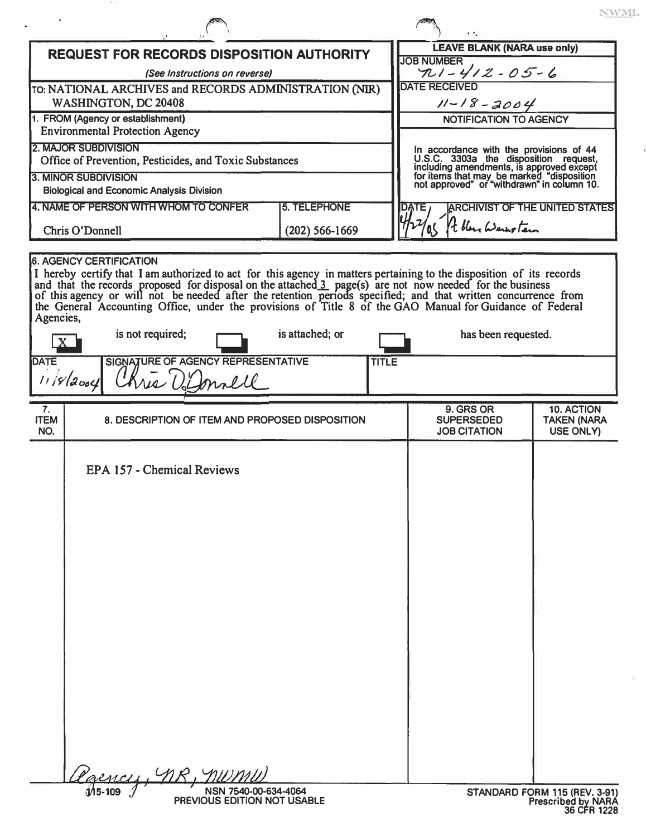|                                                                                                                                                                                                                                                                                                                                                                                                                                                                  |                     |                   | NWML<br>$\cdot$ 1                                                                                                                                                                                                       |                                                      |  |
|------------------------------------------------------------------------------------------------------------------------------------------------------------------------------------------------------------------------------------------------------------------------------------------------------------------------------------------------------------------------------------------------------------------------------------------------------------------|---------------------|-------------------|-------------------------------------------------------------------------------------------------------------------------------------------------------------------------------------------------------------------------|------------------------------------------------------|--|
| <b>REQUEST FOR RECORDS DISPOSITION AUTHORITY</b>                                                                                                                                                                                                                                                                                                                                                                                                                 |                     |                   | <b>LEAVE BLANK (NARA use only)</b><br><b>JOB NUMBER</b>                                                                                                                                                                 |                                                      |  |
| (See Instructions on reverse)<br>TO: NATIONAL ARCHIVES and RECORDS ADMINISTRATION (NIR)<br>WASHINGTON, DC 20408                                                                                                                                                                                                                                                                                                                                                  |                     |                   | $721 - 412 - 05 - 6$<br><b>DATE RECEIVED</b><br>$11 - 18 - 2004$                                                                                                                                                        |                                                      |  |
| 1. FROM (Agency or establishment)<br><b>Environmental Protection Agency</b>                                                                                                                                                                                                                                                                                                                                                                                      |                     |                   | NOTIFICATION TO AGENCY                                                                                                                                                                                                  |                                                      |  |
| <b>2. MAJOR SUBDIVISION</b><br>Office of Prevention, Pesticides, and Toxic Substances<br>3. MINOR SUBDIVISION                                                                                                                                                                                                                                                                                                                                                    |                     |                   | In accordance with the provisions of 44<br>U.S.C. 3303a the disposition request,<br>including amendments, is approved except<br>for items that may be marked "disposition<br>not approved" or "withdrawn" in column 10. |                                                      |  |
| <b>Biological and Economic Analysis Division</b><br>4. NAME OF PERSON WITH WHOM TO CONFER                                                                                                                                                                                                                                                                                                                                                                        | <b>5. TELEPHONE</b> | DATE <sub>/</sub> |                                                                                                                                                                                                                         | <b>ARCHIVIST OF THE UNITED STATES</b>                |  |
| Chris O'Donnell<br>$(202) 566 - 1669$                                                                                                                                                                                                                                                                                                                                                                                                                            |                     |                   | It bleve Warnstein                                                                                                                                                                                                      |                                                      |  |
| I hereby certify that I am authorized to act for this agency in matters pertaining to the disposition of its records<br>and that the records proposed for disposal on the attached 3 page(s) are not now needed for the business<br><br>the General Accounting Office, under the provisions of Title 8 of the GAO Manual for Guidance of Federal<br>Agencies,<br>is not required;<br><b>DATE</b><br>SIGNATURE OF AGENCY REPRESENTATIVE<br>Kris Di<br>$11/8$ 2004 | is attached; or     | <b>TITLE</b>      | has been requested.                                                                                                                                                                                                     |                                                      |  |
| 7.<br><b>ITEM</b><br>8. DESCRIPTION OF ITEM AND PROPOSED DISPOSITION<br>NO.                                                                                                                                                                                                                                                                                                                                                                                      |                     |                   | 9. GRS OR<br><b>SUPERSEDED</b>                                                                                                                                                                                          | 10. ACTION<br><b>TAKEN (NARA</b><br><b>USE ONLY)</b> |  |
| EPA 157 - Chemical Reviews                                                                                                                                                                                                                                                                                                                                                                                                                                       |                     |                   |                                                                                                                                                                                                                         |                                                      |  |
|                                                                                                                                                                                                                                                                                                                                                                                                                                                                  |                     |                   |                                                                                                                                                                                                                         |                                                      |  |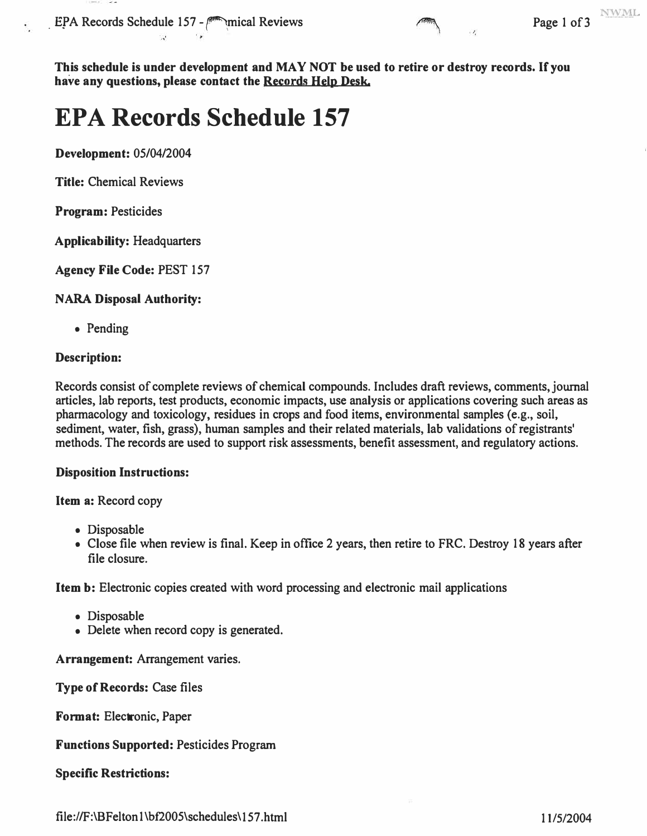EPA Records Schedule 157 - mical Reviews Page 1 of 3



**This schedule is under development and MAY NOT be used to retire or destroy records.** If **you have any questions, please contact the Records Help Desk.** 

# **EPA Records Schedule 157**

**Development:** 05/04/2004

**Title:** Chemical Reviews

**Program:** Pesticides

**Applicability:** Headquarters

**Agency File Code:** PEST 157

#### **NARA Disposal Authority:**

• Pending

#### **Description:**

Records consist of complete reviews of chemical compounds. Includes draft reviews, comments, journal articles, lab reports, test products, economic impacts, use analysis or applications covering such areas as pharmacology and toxicology, residues in crops and food items, environmental samples (e.g., soil, sediment, water, fish, grass), human samples and their related materials, lab validations of registrants' methods. The records are used to support risk assessments, benefit assessment, and regulatory actions.

#### **Disposition Instructions:**

**Item a:** Record copy

- Disposable
- Close file when review is final. Keep in office 2 years, then retire to FRC. Destroy 18 years after file closure.

**Item b:** Electronic copies created with word processing and electronic mail applications

- Disposable
- Delete when record copy is generated.

**Arrangement:** Arrangement varies.

**Type of Records:** Case files

**Format:** Electronic, Paper

#### **Functions Supported:** Pesticides Program

**Specific Restrictions:** 

<file://F:\BFelton>1 \bf2005\schedules\ 157 .html 11/5/2004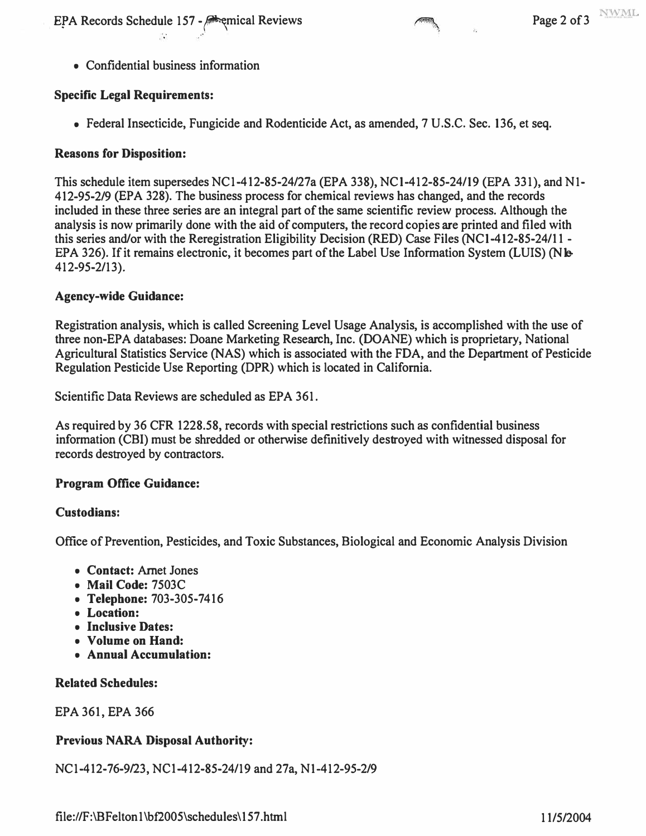**EPA Records Schedule 157 - Respectively. Repayable 157 - Respectively.** Page 2 of 3

**• Confidential business information** 

#### **Specific Legal Requirements:**

**• Federal Insecticide, Fungicide and Rodenticide Act, as amended, 7 U .S.C. Sec. 136, et seq.** 

#### **Reasons for Disposition:**

**This schedule item supersedes NCI-412-85-24/27a (EPA 338), NCI-412-85-24/19 (EPA 331), and Nl-412-95-2/9 (EPA 328). The business process for chemical reviews has changed, and the records included in these three series are an integral part of the same scientific review process. Although the analysis is now primarily done with the aid of computers, the record copies are printed and filed with this series and/or with the Reregistration Eligibility Decision (RED) Case Files (NCI-412-85-24/11 -** EPA 326). If it remains electronic, it becomes part of the Label Use Information System (LUIS) (NIb **412-95-2/13).**

### **Agency-wide Guidance:**

**Registration analysis, which is called Screening Level Usage Analysis, is accomplished with the use of three non-EPA databases: Doane Marketing Research, Inc. (DOANE) which is proprietary, National Agricultural Statistics Service (NAS) which is associated with the FDA, and the Department of Pesticide Regulation Pesticide Use Reporting (DPR) which is located in California.** 

**Scientific Data Reviews are scheduled as EPA 361.** 

**As required by 36 CFR 1228.58, records with special restrictions such as confidential business information (CBI) must be shredded or otherwise definitively destroyed with witnessed disposal for records destroyed by contractors.** 

#### **Program Office Guidance:**

#### **Custodians:**

**Office of Prevention, Pesticides, and Toxic Substances, Biological and Economic Analysis Division** 

- **Contact: Arnet Jones**
- **Mail Code: 7503C**
- **Telephone: 703-305-7416**
- **Location:**
- **Inclusive Dates:**
- **Volume on Hand:**
- **Annual Accumulation:**

#### **Related Schedules:**

**EPA 361, EPA 366** 

### **Previous NARA Disposal Authority:**

**NCI-412-76-9/23, NCI-412-85-24/19 and 27a, Nl-412-95-2/9**